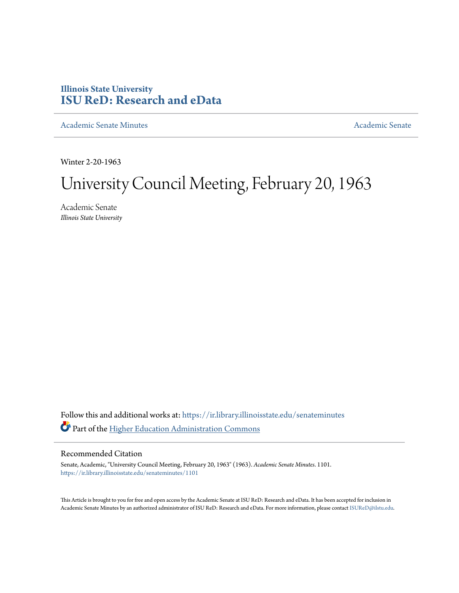# **Illinois State University [ISU ReD: Research and eData](https://ir.library.illinoisstate.edu?utm_source=ir.library.illinoisstate.edu%2Fsenateminutes%2F1101&utm_medium=PDF&utm_campaign=PDFCoverPages)**

[Academic Senate Minutes](https://ir.library.illinoisstate.edu/senateminutes?utm_source=ir.library.illinoisstate.edu%2Fsenateminutes%2F1101&utm_medium=PDF&utm_campaign=PDFCoverPages) [Academic Senate](https://ir.library.illinoisstate.edu/senate?utm_source=ir.library.illinoisstate.edu%2Fsenateminutes%2F1101&utm_medium=PDF&utm_campaign=PDFCoverPages) Academic Senate

Winter 2-20-1963

# University Council Meeting, February 20, 1963

Academic Senate *Illinois State University*

Follow this and additional works at: [https://ir.library.illinoisstate.edu/senateminutes](https://ir.library.illinoisstate.edu/senateminutes?utm_source=ir.library.illinoisstate.edu%2Fsenateminutes%2F1101&utm_medium=PDF&utm_campaign=PDFCoverPages) Part of the [Higher Education Administration Commons](http://network.bepress.com/hgg/discipline/791?utm_source=ir.library.illinoisstate.edu%2Fsenateminutes%2F1101&utm_medium=PDF&utm_campaign=PDFCoverPages)

## Recommended Citation

Senate, Academic, "University Council Meeting, February 20, 1963" (1963). *Academic Senate Minutes*. 1101. [https://ir.library.illinoisstate.edu/senateminutes/1101](https://ir.library.illinoisstate.edu/senateminutes/1101?utm_source=ir.library.illinoisstate.edu%2Fsenateminutes%2F1101&utm_medium=PDF&utm_campaign=PDFCoverPages)

This Article is brought to you for free and open access by the Academic Senate at ISU ReD: Research and eData. It has been accepted for inclusion in Academic Senate Minutes by an authorized administrator of ISU ReD: Research and eData. For more information, please contact [ISUReD@ilstu.edu.](mailto:ISUReD@ilstu.edu)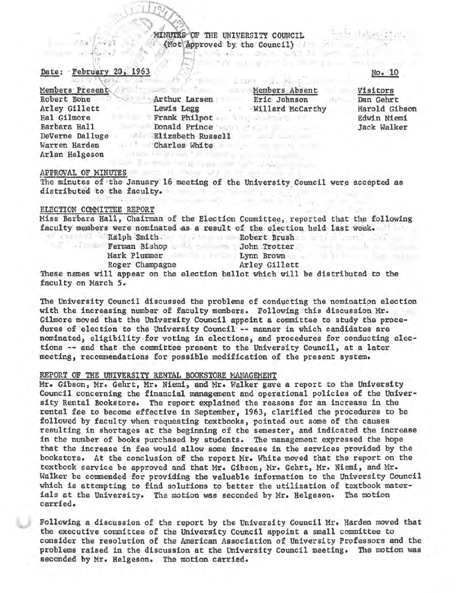## MINUTES OF THE UNIVERSITY COUNCIL (Not Approved by the Council) **Belands of the Book says in our**

#### Date: February

| $1 - 0$ and $1 - 0$ $\sqrt{2}$ $\sqrt{2}$ $\sqrt{2}$ $\sqrt{2}$ $\sqrt{2}$ $\sqrt{2}$ $\sqrt{2}$ $\sqrt{2}$ | 2020 - 2020 2021                               |
|-------------------------------------------------------------------------------------------------------------|------------------------------------------------|
| Members Present                                                                                             | Members Absent                                 |
| Robert Bone                                                                                                 | Arthur Larsen<br>Eric Johnson                  |
| Arley Gillett                                                                                               | Lewis Legg Willard McCarthy                    |
| Hal Gilmore                                                                                                 | Frank Philpot                                  |
| Barbara Hall                                                                                                | Donald Prince Williams                         |
| DeVerne Dalluge                                                                                             | Elizabeth Russell Communications               |
| Warren Harden                                                                                               | Charles White<br>Control of the Control of the |
| Arlan Helgeson                                                                                              |                                                |

Commercial control

### APPROVAL OF MINUTES AND ALL AND AND ALL AND AND ALL AND AND ALL AND ALL AND ALL AND ALL AND ALL AND ALL AND ALL

The minutes of the January 16 meeting of the University Council were accepted as distributed to the faculty.

The second company of the second company of the second company of the second company of the second company of the second company of the second company of the second company of the second company of the second company of th

#### ELECTION COMMITTEE REPORT

Miss Barbara Hall, Chairman of the Election Committee, reported that the following faculty members were nominated as a result of the election held last week.

**Example 2018 Ferman Bishop Company of Sohn Trotter** Mark Plummer and I Lynn Brown Roger Champagne

Religion of Ralph Smith and the contract Brush and the contract of the contract of the contract of the contract of the contract of the contract of the contract of the contract of the contract of the contract of the contrac

All committee to see a

SALE IN THE SALE REPORT

Arley Gillett

These names will appear on the election ballot which will be distributed to the faculty on March 5.

The University Council discussed the problems of conducting the nomination election with the increasing number of faculty members. Following this discussion Mr. Gilmore moved that the University Council appoint a committee to study the procedures of election to the University Council -- manner in which candidates are nominated, eligibility for voting in elections, and procedures for conducting elections -- and that the committee present to the University Council, at a later meeting, recommendations for possible modification of the present system.

#### REPORT OF THE UNIVERSITY RENTAL BOOKSTORE MANAGEMENT

Mr. Gibson, Mr. Gehrt, Mr. Niemi, and Mr. Walker gave a report to the University Council concerning the financial management and operational policies of the University Rental Bookstore. The report explained the reasons for an increase in the rental fee to become effective in September, 1963, clarified the procedures to be followed by faculty when requesting textbooks, pointed out some of the causes resulting in shortages at the beginning of the semester, and indicated the increase in the number of books purchased by students. The management expressed the hope that the increase in fee would allow some increase in the services provided by the bookstore. At the conclusion of the report Mr. White moved that the report on the textbook service be approved and that Mr. Gibson, Mr. Gehrt, Mr. Niemi, and Mr. Walker be commended for providing the valuable information to the University Council which is attempting to find solutions to better the utilization of textbook materials at the University. The motion was seconded by Mr. Helgeson. The motion carried.

Following a discussion of the report by the University Council Mr. Harden moved that the executive committee of the University Council appoint a small committee to consider the resolution of the American Association of University Professors and the problems raised in the discussion at the University Council meeting. The motion was seconded by Mr. Helgeson. The motion carried.

#### No. 10

Visitors Dan Gehrt Harold Gibson Edwin Niemi Jack Walker